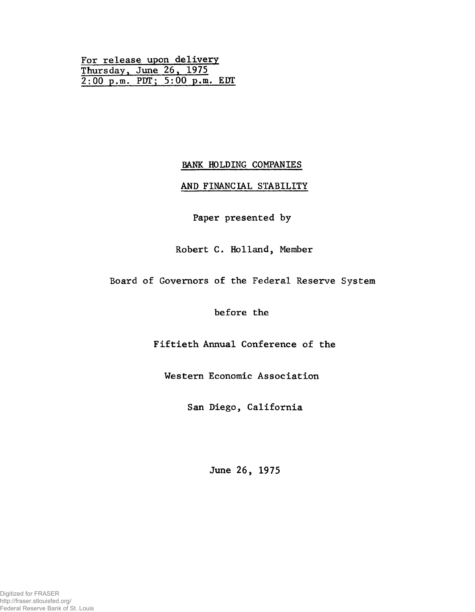For release upon delivery Thursday, June 26. 1975 2:00 p.m. PUT; 5:00 p.m. EDT

# BANK HOLDING COMPANIES

# AND FINANCIAL STABILITY

Paper presented by

Robert C. Holland, Member

Board of Governors of the Federal Reserve System

before the

Fiftieth Annual Conference of the

Western Economic Association

San Diego, California

June 26, 1975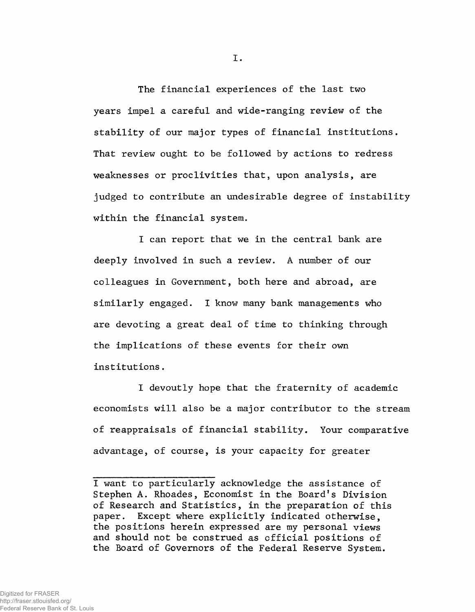The financial experiences of the last two years impel a careful and wide-ranging review of the stability of our major types of financial institutions. That review ought to be followed by actions to redress weaknesses or proclivities that, upon analysis, are judged to contribute an undesirable degree of instability within the financial system.

I can report that we in the central bank are deeply involved in such a review. A number of our colleagues in Government, both here and abroad, are similarly engaged. I know many bank managements who are devoting a great deal of time to thinking through the implications of these events for their own institutions.

I devoutly hope that the fraternity of academic economists will also be a major contributor to the stream of reappraisals of financial stability. Your comparative advantage, of course, is your capacity for greater

I want to particularly acknowledge the assistance of Stephen A. Rhoades, Economist in the Board's Division of Research and Statistics, in the preparation of this paper. Except where explicitly indicated otherwise, the positions herein expressed are my personal views and should not be construed as official positions of the Board of Governors of the Federal Reserve System.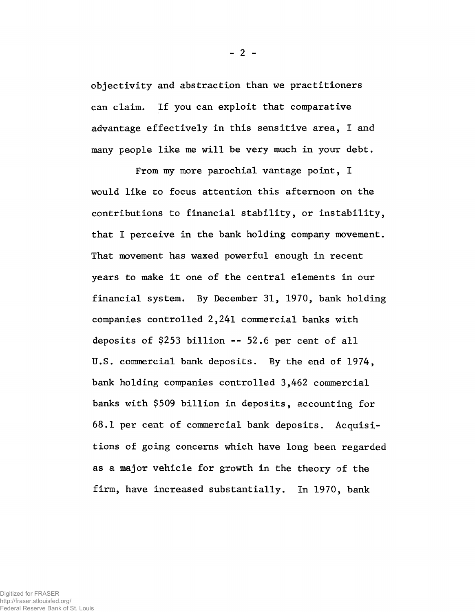objectivity and abstraction than we practitioners can claim. If you can exploit that comparative advantage effectively in this sensitive area, I and many people like me will be very much in your debt.

From my more parochial vantage point, I would like to focus attention this afternoon on the contributions to financial stability, or instability, that I perceive in the bank holding company movement. That movement has waxed powerful enough in recent years to make it one of the central elements in our financial system. By December 31, 1970, bank holding companies controlled 2,241 commercial banks with deposits of \$253 billion -- 52.6 per cent of all U.S. commercial bank deposits. By the end of 1974, bank holding companies controlled 3,462 commercial banks with \$509 billion in deposits, accounting for 68.1 per cent of commercial bank deposits. Acquisitions of going concerns which have long been regarded as a major vehicle for growth in the theory of the firm, have increased substantially. In 1970, bank

http://fraser.stlouisfed.org/ Federal Reserve Bank of St. Louis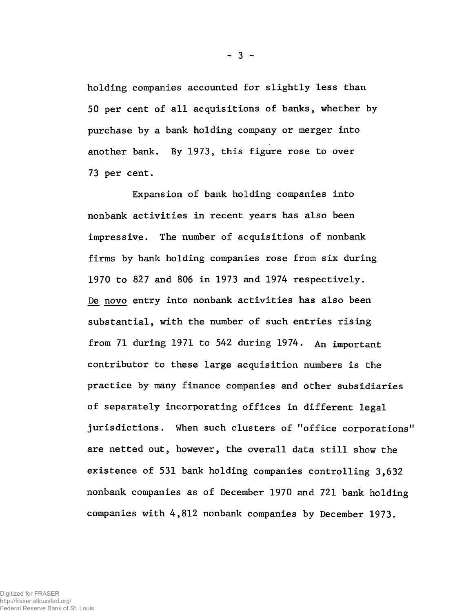holding companies accounted for slightly less than 50 per cent of all acquisitions of banks, whether by purchase by a bank holding company or merger into another bank. By 1973, this figure rose to over 73 per cent.

Expansion of bank holding companies into nonbank activities in recent years has also been impressive. The number of acquisitions of nonbank firms by bank holding companies rose from six during 1970 to 827 and 806 in 1973 and 1974 respectively. De novo entry into nonbank activities has also been substantial, with the number of such entries rising from 71 during 1971 to 542 during  $1974$ . An important contributor to these large acquisition numbers is the practice by many finance companies and other subsidiaries of separately incorporating offices in different legal jurisdictions. When such clusters of "office corporations" are netted out, however, the overall data still show the existence of 531 bank holding companies controlling 3,632 nonbank companies as of December 1970 and 721 bank holding companies with 4,812 nonbank companies by December 1973.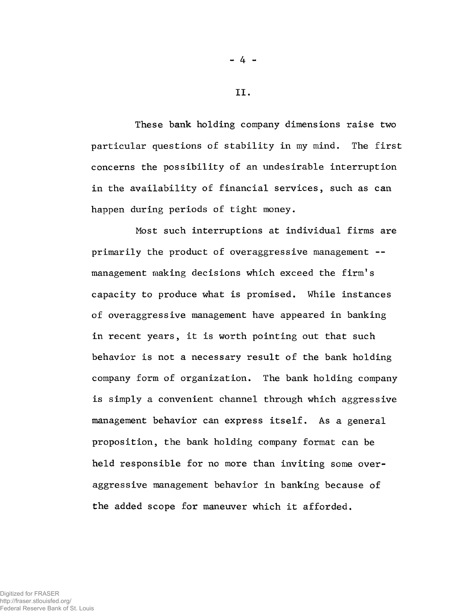These bank holding company dimensions raise two particular questions of stability in my mind. The first concerns the possibility of an undesirable interruption in the availability of financial services, such as can happen during periods of tight money.

Most such interruptions at individual firms are primarily the product of overaggressive management -management making decisions which exceed the firm's capacity to produce what is promised. While instances of overaggressive management have appeared in banking in recent years, it is worth pointing out that such behavior is not a necessary result of the bank holding company form of organization. The bank holding company is simply a convenient channel through which aggressive management behavior can express itself. As a general proposition, the bank holding company format can be held responsible for no more than inviting some overaggressive management behavior in banking because of the added scope for maneuver which it afforded.

 $-4 -$ 

II.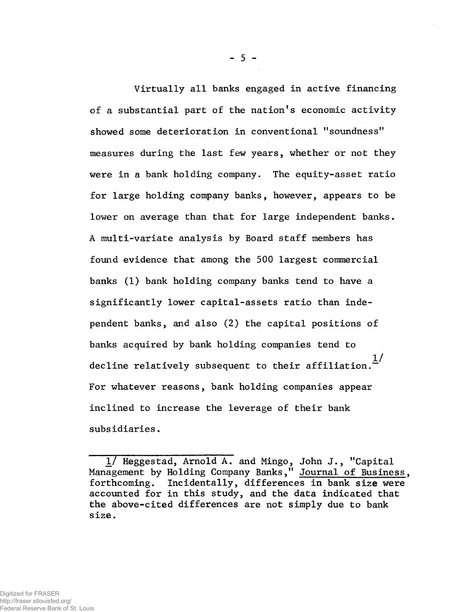Virtually all banks engaged in active financing of a substantial part of the nation's economic activity showed some deterioration in conventional "soundness" measures during the last few years, whether or not they were in a bank holding company. The equity-asset ratio for large holding company banks, however, appears to be lower on average than that for large independent banks. A multi-variate analysis by Board staff members has found evidence that among the 500 largest commercial banks (1) bank holding company banks tend to have a significantly lower capital-assets ratio than independent banks, and also (2) the capital positions of banks acquired by bank holding companies tend to decline relatively subsequent to their affiliation.  $\frac{1}{\cdot}$ For whatever reasons, bank holding companies appear inclined to increase the leverage of their bank subsidiaries.

 $-5 -$ 

*If* Heggestad, Arnold A. and Mingo, John J., "Capital Management by Holding Company Banks," Journal of Business, forthcoming. Incidentally, differences in bank size were accounted for in this study, and the data indicated that the above-cited differences are not simply due to bank size.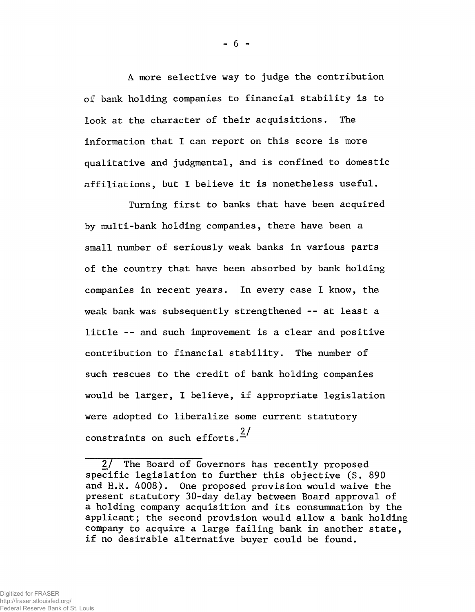A more selective way to judge the contribution of bank holding companies to financial stability is to look at the character of their acquisitions. The information that I can report on this score is more qualitative and judgmental, and is confined to domestic affiliations, but I believe it is nonetheless useful.

Turning first to banks that have been acquired by multi-bank holding companies, there have been a small number of seriously weak banks in various parts of the country that have been absorbed by bank holding companies in recent years. In every case I know, the weak bank was subsequently strengthened -- at least a little -- and such improvement is a clear and positive contribution to financial stability. The number of such rescues to the credit of bank holding companies would be larger, I believe, if appropriate legislation were adopted to liberalize some current statutory **2/** constraints on such efforts."

 $- 6 -$ 

<sup>2/</sup> The Board of Governors has recently proposed specific legislation to further this objective (S. 890 and H.R. 4008). One proposed provision would waive the present statutory 30-day delay between Board approval of a holding company acquisition and its consummation by the applicant; the second provision would allow a bank holding company to acquire a large failing bank in another state, if no desirable alternative buyer could be found.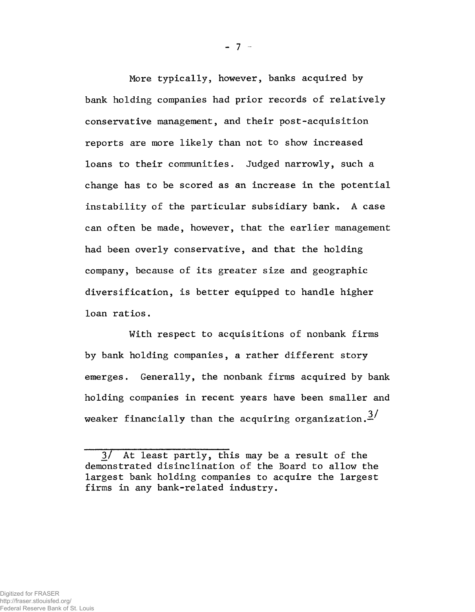More typically, however, banks acquired by bank holding companies had prior records of relatively conservative management, and their post-acquisition reports are more likely than not to show increased loans to their communities. Judged narrowly, such a change has to be scored as an increase in the potential instability of the particular subsidiary bank. A case can often be made, however, that the earlier management had been overly conservative, and that the holding company, because of its greater size and geographic diversification, is better equipped to handle higher loan ratios.

With respect to acquisitions of nonbank firms by bank holding companies, a rather different story emerges. Generally, the nonbank firms acquired by bank holding companies in recent years have been smaller and weaker financially than the acquiring organization.<sup>3/</sup>

<sup>3/</sup> At least partly, this may be a result of the demonstrated disinclination of the Board to allow the largest bank holding companies to acquire the largest firms in any bank-related industry.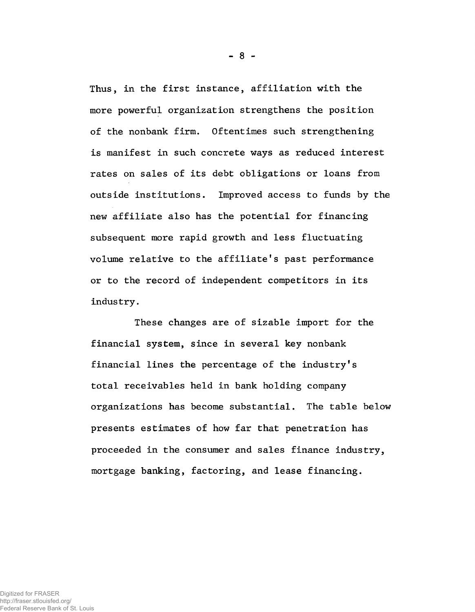Thus, in the first instance, affiliation with the more powerful organization strengthens the position of the nonbank firm. Oftentimes such strengthening is manifest in such concrete ways as reduced interest rates on sales of its debt obligations or loans from outside institutions. Improved access to funds by the new affiliate also has the potential for financing subsequent more rapid growth and less fluctuating volume relative to the affiliate's past performance or to the record of independent competitors in its industry.

These changes are of sizable import for the financial system, since in several key nonbank financial lines the percentage of the industry's total receivables held in bank holding company organizations has become substantial. The table below presents estimates of how far that penetration has proceeded in the consumer and sales finance industry, mortgage banking, factoring, and lease financing.

 $-8 -$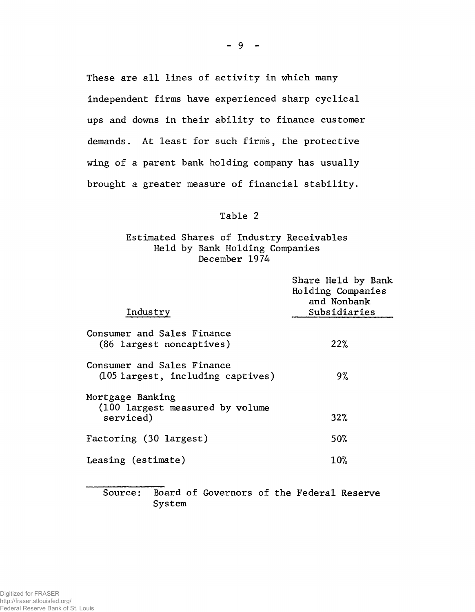These are all lines of activity in which many independent firms have experienced sharp cyclical ups and downs in their ability to finance customer demands. At least for such firms, the protective wing of a parent bank holding company has usually brought a greater measure of financial stability.

### Table 2

# Estimated Shares of Industry Receivables Held by Bank Holding Companies December 1974

| Industry                                                          | Share Held by Bank<br>Holding Companies<br>and Nonbank<br>Subsidiaries |
|-------------------------------------------------------------------|------------------------------------------------------------------------|
|                                                                   |                                                                        |
| Consumer and Sales Finance<br>(86 largest noncaptives)            | 22%                                                                    |
| Consumer and Sales Finance<br>(105 largest, including captives)   | 9%                                                                     |
| Mortgage Banking<br>(100 largest measured by volume)<br>serviced) | 32%                                                                    |
|                                                                   |                                                                        |
| Factoring (30 largest)                                            | 50%                                                                    |
| Leasing (estimate)                                                | $10\%$                                                                 |
|                                                                   |                                                                        |

Source: Board of Governors of the Federal Reserve System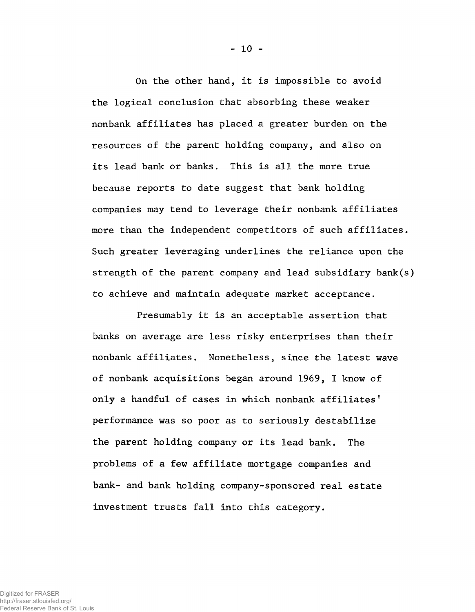On the other hand, it is impossible to avoid the logical conclusion that absorbing these weaker nonbank affiliates has placed a greater burden on the resources of the parent holding company, and also on its lead bank or banks. This is all the more true because reports to date suggest that bank holding companies may tend to leverage their nonbank affiliates more than the independent competitors of such affiliates. Such greater leveraging underlines the reliance upon the strength of the parent company and lead subsidiary bank(s) to achieve and maintain adequate market acceptance.

Presumably it is an acceptable assertion that banks on average are less risky enterprises than their nonbank affiliates. Nonetheless, since the latest wave of nonbank acquisitions began around 1969, I know of only a handful of cases in which nonbank affiliates' performance was so poor as to seriously destabilize the parent holding company or its lead bank. The problems of a few affiliate mortgage companies and bank- and bank holding company-sponsored real estate investment trusts fall into this category.

 $-10 -$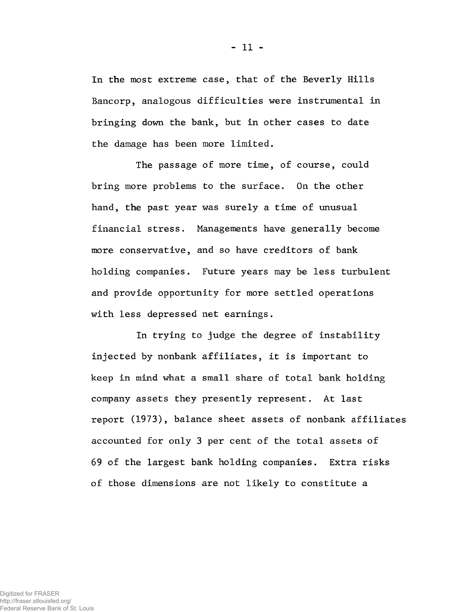In the most extreme case, that of the Beverly Hills Bancorp, analogous difficulties were instrumental in bringing down the bank, but in other cases to date the damage has been more limited.

The passage of more time, of course, could bring more problems to the surface. On the other hand, the past year was surely a time of unusual financial stress. Managements have generally become more conservative, and so have creditors of bank holding companies. Future years may be less turbulent and provide opportunity for more settled operations with less depressed net earnings.

In trying to judge the degree of instability injected by nonbank affiliates, it is important to keep in mind what a small share of total bank holding company assets they presently represent. At last report (1973), balance sheet assets of nonbank affiliates accounted for only 3 per cent of the total assets of 69 of the largest bank holding companies. Extra risks of those dimensions are not likely to constitute a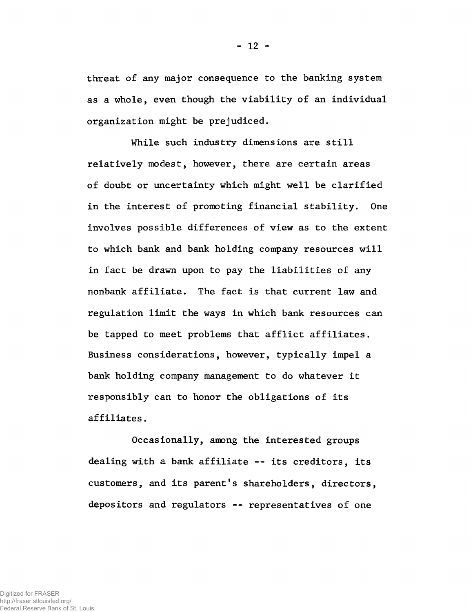threat of any major consequence to the banking system as a whole, even though the viability of an individual organization might be prejudiced.

While such industry dimensions are still relatively modest, however, there are certain areas of doubt or uncertainty which might well be clarified in the interest of promoting financial stability. One involves possible differences of view as to the extent to which bank and bank holding company resources will in fact be drawn upon to pay the liabilities of any nonbank affiliate. The fact is that current law and regulation limit the ways in which bank resources can be tapped to meet problems that afflict affiliates. Business considerations, however, typically impel a bank holding company management to do whatever it responsibly can to honor the obligations of its affiliates.

Occasionally, among the interested groups dealing with a bank affiliate — its creditors, its customers, and its parent's shareholders, directors, depositors and regulators -- representatives of one

- 12 -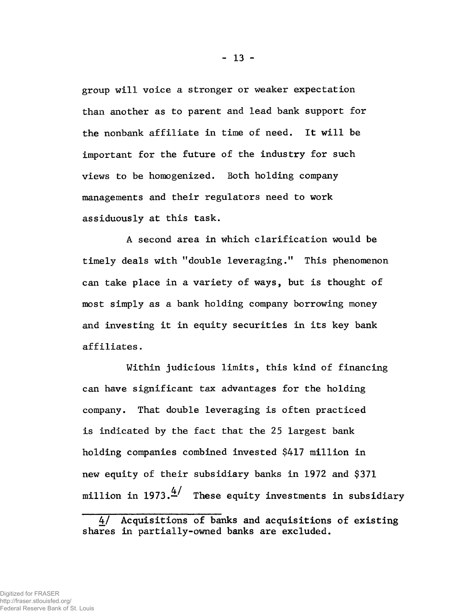group will voice a stronger or weaker expectation than another as to parent and lead bank support for the nonbank affiliate in time of need. It will be important for the future of the industry for such views to be homogenized. Both holding company managements and their regulators need to work assiduously at this task.

A second area in which clarification would be timely deals with "double leveraging." This phenomenon can take place in a variety of ways, but is thought of most simply as a bank holding company borrowing money and investing it in equity securities in its key bank affiliates.

Within judicious limits, this kind of financing can have significant tax advantages for the holding company. That double leveraging is often practiced is indicated by the fact that the 25 largest bank holding companies combined invested \$417 million in new equity of their subsidiary banks in 1972 and \$371 million in 1973. $\frac{4}{1}$  These equity investments in subsidiary

Acquisitions of banks and acquisitions of existing shares in partially-owned banks are excluded.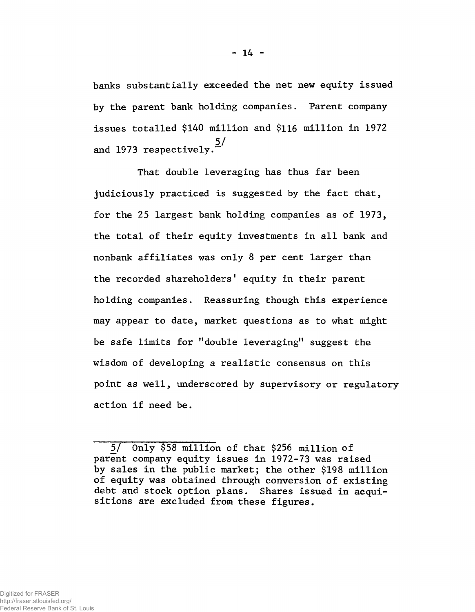banks substantially exceeded the net new equity issued by the parent bank holding companies. Parent company issues totalled \$140 million and \$116 million in 1972 5/ and 1973 respectively.

That double leveraging has thus far been judiciously practiced is suggested by the fact that, for the 25 largest bank holding companies as of 1973, the total of their equity investments in all bank and nonbank affiliates was only 8 per cent larger than the recorded shareholders' equity in their parent holding companies. Reassuring though this experience may appear to date, market questions as to what might be safe limits for "double leveraging" suggest the wisdom of developing a realistic consensus on this point as well, underscored by supervisory or regulatory action if need be.

<sup>5/</sup> Only \$58 million of that \$256 million of parent company equity issues in 1972-73 was raised by sales in the public market; the other \$198 million of equity was obtained through conversion of existing debt and stock option plans. Shares issued in acquisitions are excluded from these figures.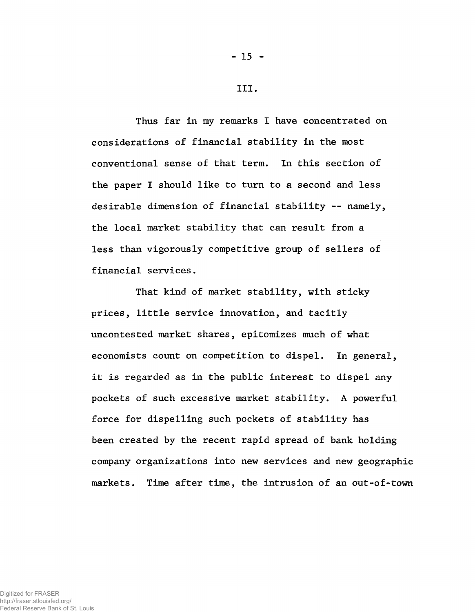Thus far in my remarks I have concentrated on considerations of financial stability in the most conventional sense of that term. In this section of the paper I should like to turn to a second and less desirable dimension of financial stability — namely, the local market stability that can result from a less than vigorously competitive group of sellers of financial services.

That kind of market stability, with sticky prices, little service innovation, and tacitly uncontested market shares, epitomizes much of what economists count on competition to dispel. In general, it is regarded as in the public interest to dispel any pockets of such excessive market stability. A powerful force for dispelling such pockets of stability has been created by the recent rapid spread of bank holding company organizations into new services and new geographic markets. Time after time, the intrusion of an out-of-town

#### Digitized for FRASER http://fraser.stlouisfed.org/ Federal Reserve Bank of St. Louis

III.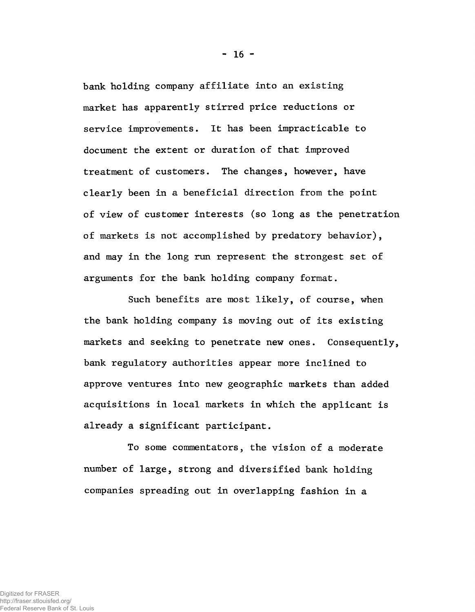bank holding company affiliate into an existing market has apparently stirred price reductions or service improvements. It has been impracticable to document the extent or duration of that improved treatment of customers. The changes, however, have clearly been in a beneficial direction from the point of view of customer interests (so long as the penetration of markets is not accomplished by predatory behavior), and may in the long run represent the strongest set of arguments for the bank holding company format.

Such benefits are most likely, of course, when the bank holding company is moving out of its existing markets and seeking to penetrate new ones. Consequently, bank regulatory authorities appear more inclined to approve ventures into new geographic markets than added acquisitions in local markets in which the applicant is already a significant participant.

To some commentators, the vision of a moderate number of large, strong and diversified bank holding companies spreading out in overlapping fashion in a

 $- 16 -$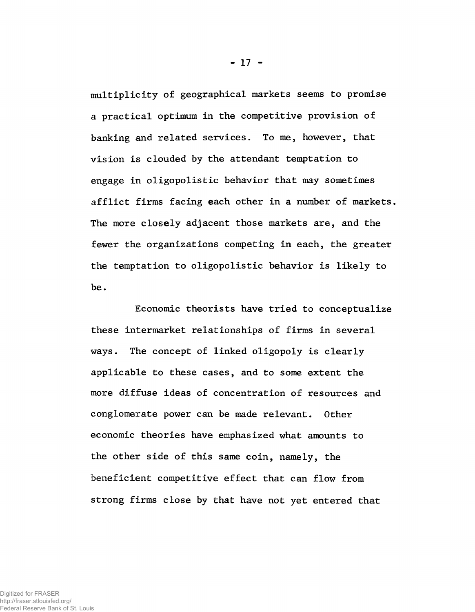multiplicity of geographical markets seems to promise a practical optimum in the competitive provision of banking and related services. To me, however, that vision is clouded by the attendant temptation to engage in oligopolistic behavior that may sometimes afflict firms facing each other in a number of markets. The more closely adjacent those markets are, and the fewer the organizations competing in each, the greater the temptation to oligopolistic behavior is likely to be.

Economic theorists have tried to conceptualize these intermarket relationships of firms in several ways. The concept of linked oligopoly is clearly applicable to these cases, and to some extent the more diffuse ideas of concentration of resources and conglomerate power can be made relevant. Other economic theories have emphasized what amounts to the other side of this same coin, namely, the beneficient competitive effect that can flow from strong firms close by that have not yet entered that

- 17 -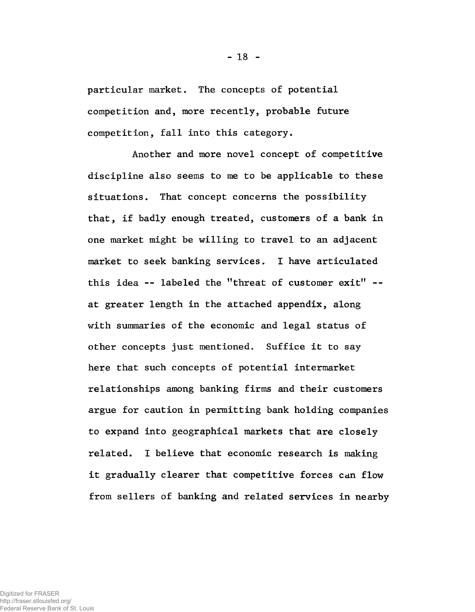particular market. The concepts of potential competition and, more recently, probable future competition, fall into this category.

Another and more novel concept of competitive discipline also seems to me to be applicable to these situations. That concept concerns the possibility that, if badly enough treated, customers of a bank in one market might be willing to travel to an adjacent market to seek banking services. I have articulated this idea -- labeled the "threat of customer exit" - at greater length in the attached appendix, along with summaries of the economic and legal status of other concepts just mentioned. Suffice it to say here that such concepts of potential intermarket relationships among banking firms and their customers argue for caution in permitting bank holding companies to expand into geographical markets that are closely related. I believe that economic research is making it gradually clearer that competitive forces can flow from sellers of banking and related services in nearby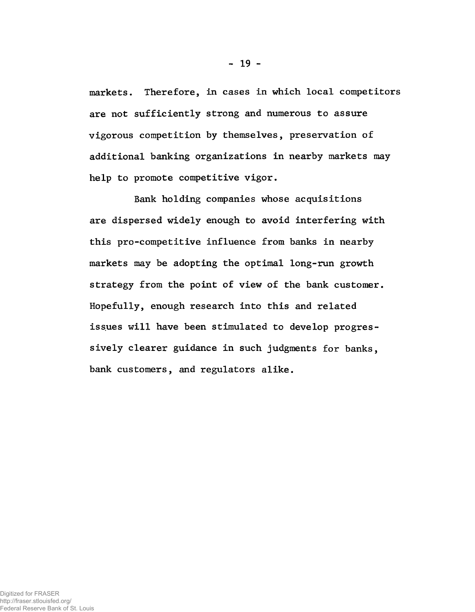markets. Therefore, in cases in which local competitors are not sufficiently strong and numerous to assure vigorous competition by themselves, preservation of additional banking organizations in nearby markets may help to promote competitive vigor.

Bank holding companies whose acquisitions are dispersed widely enough to avoid interfering with this pro-competitive influence from banks in nearby markets may be adopting the optimal long-run growth strategy from the point of view of the bank customer. Hopefully, enough research into this and related issues will have been stimulated to develop progressively clearer guidance in such judgments for banks, bank customers, and regulators alike.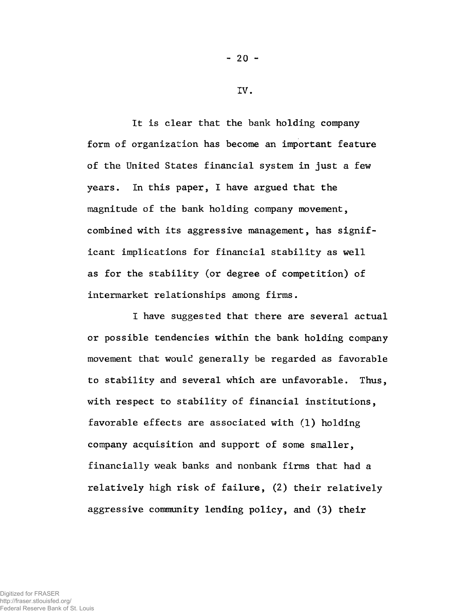It is clear that the bank holding company form of organization has become an important feature of the United States financial system in just a few years. In this paper, I have argued that the magnitude of the bank holding company movement, combined with its aggressive management, has significant implications for financial stability as well as for the stability (or degree of competition) of intermarket relationships among firms.

I have suggested that there are several actual or possible tendencies within the bank holding company movement that would generally be regarded as favorable to stability and several which are unfavorable. Thus, with respect to stability of financial institutions, favorable effects are associated with (1) holding company acquisition and support of some smaller, financially weak banks and nonbank firms that had a relatively high risk of failure, (2) their relatively aggressive community lending policy, and (3) their

 $- 20 -$ 

IV.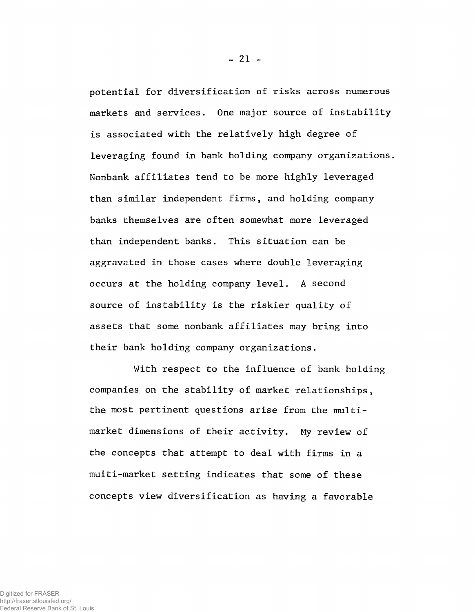potential for diversification of risks across numerous markets and services. One major source of instability is associated with the relatively high degree of leveraging found in bank holding company organizations. Nonbank affiliates tend to be more highly leveraged than similar independent firms, and holding company banks themselves are often somewhat more leveraged than independent banks. This situation can be aggravated in those cases where double leveraging occurs at the holding company level. A second source of instability is the riskier quality of assets that some nonbank affiliates may bring into their bank holding company organizations.

With respect to the influence of bank holding companies on the stability of market relationships, the most pertinent questions arise from the multimarket dimensions of their activity. My review of the concepts that attempt to deal with firms in a multi-market setting indicates that some of these concepts view diversification as having a favorable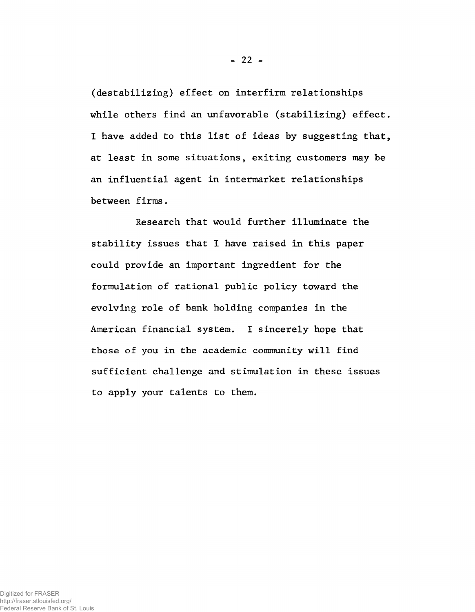(destabilizing) effect on interfirm relationships while others find an unfavorable (stabilizing) effect. I have added to this list of ideas by suggesting that, at least in some situations, exiting customers may be an influential agent in intermarket relationships between firms.

Research that would further illuminate the stability issues that I have raised in this paper could provide an important ingredient for the formulation of rational public policy toward the evolving role of bank holding companies in the American financial system. I sincerely hope that those of you in the academic community will find sufficient challenge and stimulation in these issues to apply your talents to them.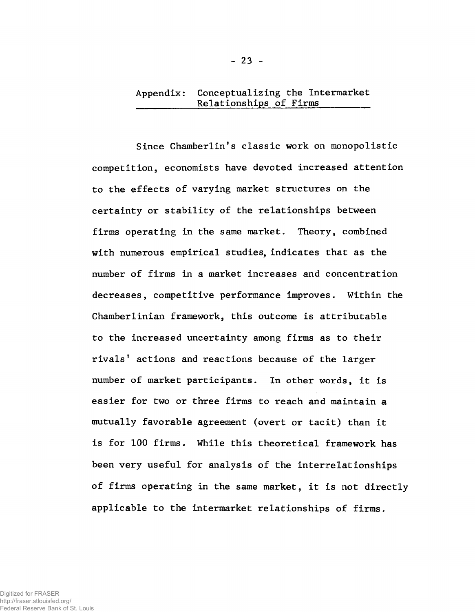# Appendix: Conceptualizing the Intermarket Relationships of Firms

Since Chamberlin's classic work on monopolistic competition, economists have devoted increased attention to the effects of varying market structures on the certainty or stability of the relationships between firms operating in the same market. Theory, combined with numerous empirical studies, indicates that as the number of firms in a market increases and concentration decreases, competitive performance improves. Within the Chamberlinian framework, this outcome is attributable to the increased uncertainty among firms as to their rivals' actions and reactions because of the larger number of market participants. In other words, it is easier for two or three firms to reach and maintain a mutually favorable agreement (overt or tacit) than it is for 100 firms. While this theoretical framework has been very useful for analysis of the interrelationships of firms operating in the same market, it is not directly applicable to the intermarket relationships of firms.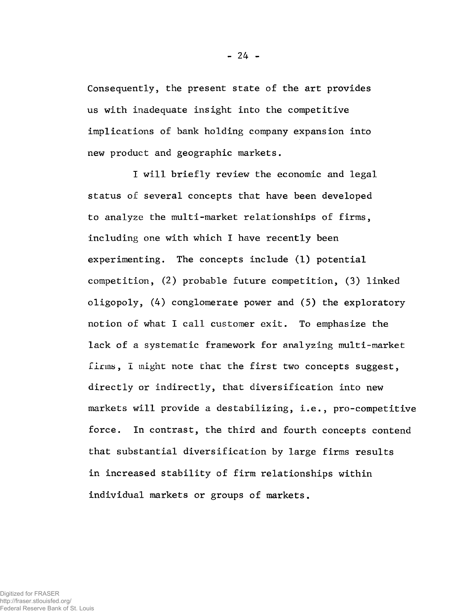Consequently, the present state of the art provides us with inadequate insight into the competitive implications of bank holding company expansion into new product and geographic markets.

I will briefly review the economic and legal status of several concepts that have been developed to analyze the multi-market relationships of firms, including one with which I have recently been experimenting. The concepts include (1) potential competition, (2) probable future competition, (3) linked oligopoly, (4) conglomerate power and (5) the exploratory notion of what I call customer exit. To emphasize the lack of a systematic framework for analyzing multi-market firms, I might note that the first two concepts suggest, directly or indirectly, that diversification into new markets will provide a destabilizing, i.e., pro-competitive force. In contrast, the third and fourth concepts contend that substantial diversification by large firms results in increased stability of firm relationships within individual markets or groups of markets.

 $-24 -$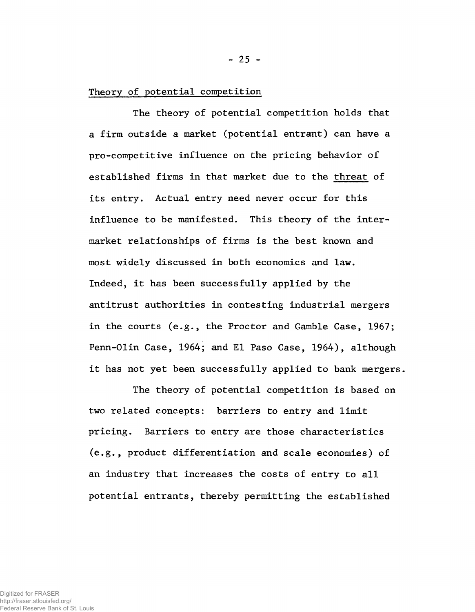### Theory of potential competition

The theory of potential competition holds that a firm outside a market (potential entrant) can have a pro-competitive influence on the pricing behavior of established firms in that market due to the threat of its entry. Actual entry need never occur for this influence to be manifested. This theory of the intermarket relationships of firms is the best known and most widely discussed in both economics and law. Indeed, it has been successfully applied by the antitrust authorities in contesting industrial mergers in the courts (e.g., the Proctor and Gamble Case, 1967; Penn-Olin Case, 1964; and El Paso Case, 1964), although it has not yet been successfully applied to bank mergers.

The theory of potential competition is based on two related concepts: barriers to entry and limit pricing. Barriers to entry are those characteristics (e.g., product differentiation and scale economies) of an industry that increases the costs of entry to all potential entrants, thereby permitting the established

Digitized for FRASER http://fraser.stlouisfed.org/ Federal Reserve Bank of St. Louis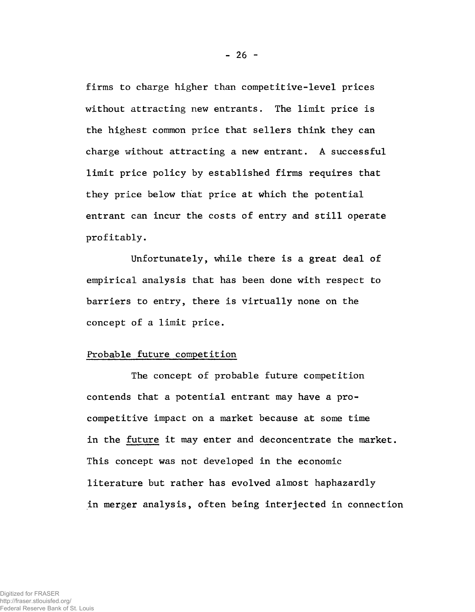firms to charge higher than competitive-level prices without attracting new entrants. The limit price is the highest common price that sellers think they can charge without attracting a new entrant. A successful limit price policy by established firms requires that they price below that price at which the potential entrant can incur the costs of entry and still operate profitably.

Unfortunately, while there is a great deal of empirical analysis that has been done with respect to barriers to entry, there is virtually none on the concept of a limit price.

### Probable future competition

The concept of probable future competition contends that a potential entrant may have a procompetitive impact on a market because at some time in the future it may enter and deconcentrate the market. This concept was not developed in the economic literature but rather has evolved almost haphazardly in merger analysis, often being interjected in connection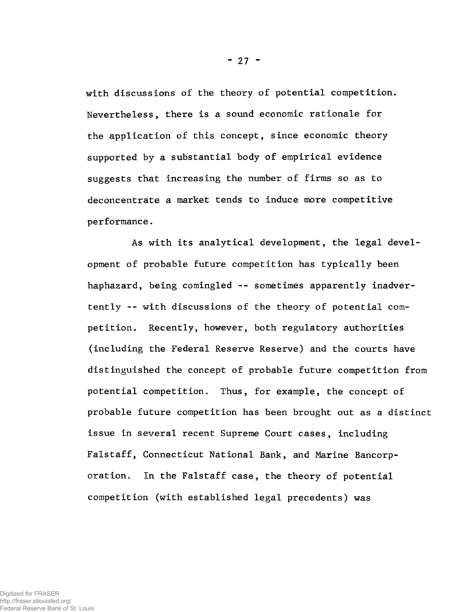with discussions of the theory of potential competition. Nevertheless, there is a sound economic rationale for the application of this concept, since economic theory supported by a substantial body of empirical evidence suggests that increasing the number of firms so as to deconcentrate a market tends to induce more competitive performance.

As with its analytical development, the legal development of probable future competition has typically been haphazard, being comingled -- sometimes apparently inadvertently -- with discussions of the theory of potential competition. Recently, however, both regulatory authorities (including the Federal Reserve Reserve) and the courts have distinguished the concept of probable future competition from potential competition. Thus, for example, the concept of probable future competition has been brought out as a distinct issue in several recent Supreme Court cases, including Falstaff, Connecticut National Bank, and Marine Bancorporation. In the Falstaff case, the theory of potential competition (with established legal precedents) was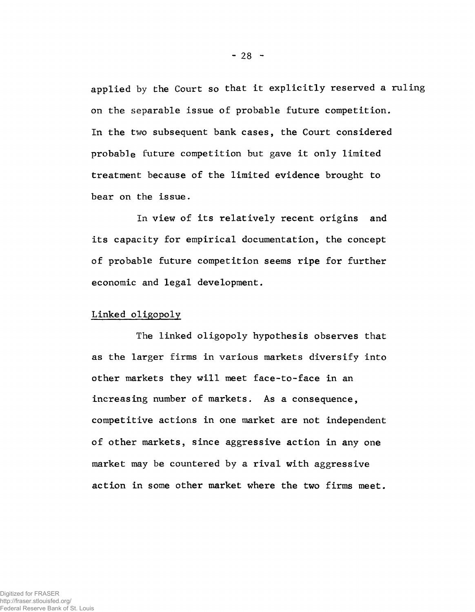applied by the Court so that it explicitly reserved a ruling on the separable issue of probable future competition. In the two subsequent bank cases, the Court considered probable future competition but gave it only limited treatment because of the limited evidence brought to bear on the issue.

In view of its relatively recent origins and its capacity for empirical documentation, the concept of probable future competition seems ripe for further economic and legal development.

## Linked oligopoly

The linked oligopoly hypothesis observes that as the larger firms in various markets diversify into other markets they will meet face-to-face in an increasing number of markets. As a consequence, competitive actions in one market are not independent of other markets, since aggressive action in any one market may be countered by a rival with aggressive action in some other market where the two firms meet.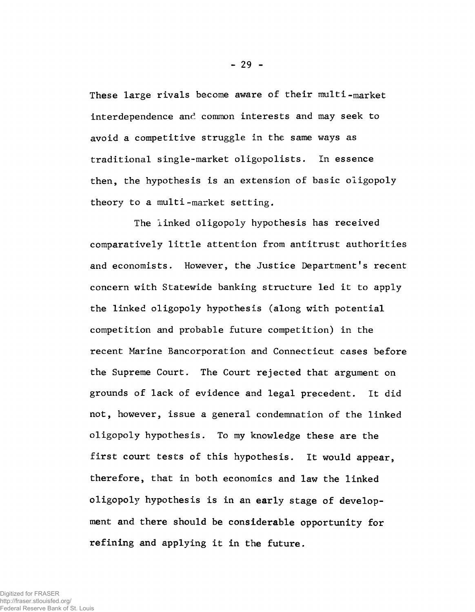These large rivals become aware of their multi-market interdependence and common interests and may seek to avoid a competitive struggle in the same ways as traditional single-market oligopolists. In essence then, the hypothesis is an extension of basic oligopoly theory to a multi-market setting.

The linked oligopoly hypothesis has received comparatively little attention from antitrust authorities and economists. However, the Justice Department's recent concern with Statewide banking structure led it to apply the linked oligopoly hypothesis (along with potential competition and probable future competition) in the recent Marine Bancorporation and Connecticut cases before the Supreme Court. The Court rejected that argument on grounds of lack of evidence and legal precedent. It did not, however, issue a general condemnation of the linked oligopoly hypothesis. To my knowledge these are the first court tests of this hypothesis. It would appear, therefore, that in both economics and law the linked oligopoly hypothesis is in an early stage of development and there should be considerable opportunity for refining and applying it in the future.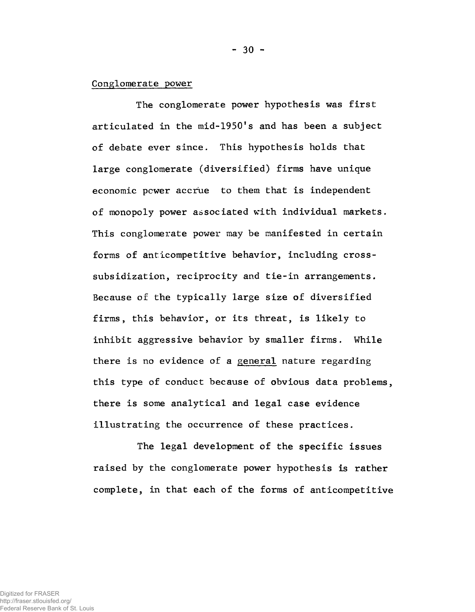### Conglomerate power

The conglomerate power hypothesis was first articulated in the mid-1950's and has been a subject of debate ever since. This hypothesis holds that large conglomerate (diversified) firms have unique economic power accrue to them that is independent of monopoly power associated with individual markets. This conglomerate power may be manifested in certain forms of anticompetitive behavior, including crosssubsidization, reciprocity and tie-in arrangements. Because of the typically large size of diversified firms, this behavior, or its threat, is likely to inhibit aggressive behavior by smaller firms. While there is no evidence of a general nature regarding this type of conduct because of obvious data problems, there is some analytical and legal case evidence illustrating the occurrence of these practices.

The legal development of the specific issues raised by the conglomerate power hypothesis is rather complete, in that each of the forms of anticompetitive

Digitized for FRASER http://fraser.stlouisfed.org/ Federal Reserve Bank of St. Louis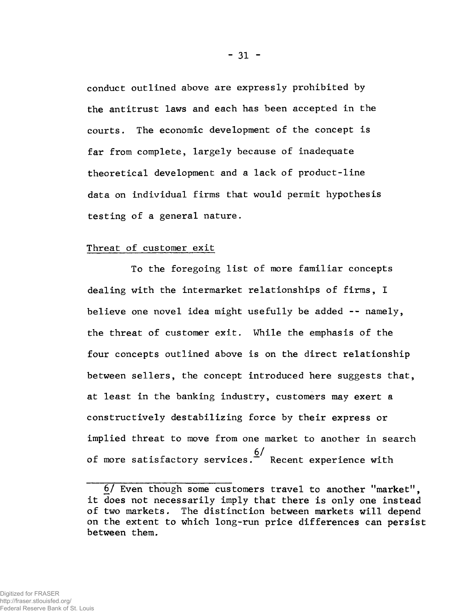conduct outlined above are expressly prohibited by the antitrust laws and each has been accepted in the courts. The economic development of the concept is far from complete, largely because of inadequate theoretical development and a lack of product-line data on individual firms that would permit hypothesis testing of a general nature.

### Threat of customer exit

To the foregoing list of more familiar concepts dealing with the intermarket relationships of firms, I believe one novel idea might usefully be added  $-$ - namely, the threat of customer exit. While the emphasis of the four concepts outlined above is on the direct relationship between sellers, the concept introduced here suggests that, at least in the banking industry, customers may exert a constructively destabilizing force by their express or implied threat to move from one market to another in search  $6/$ of more satisfactory services.  $\tilde{f}$  Recent experience with

<sup>6/</sup> Even though some customers travel to another "market", it does not necessarily imply that there is only one instead of two markets. The distinction between markets will depend on the extent to which long-run price differences can persist between them.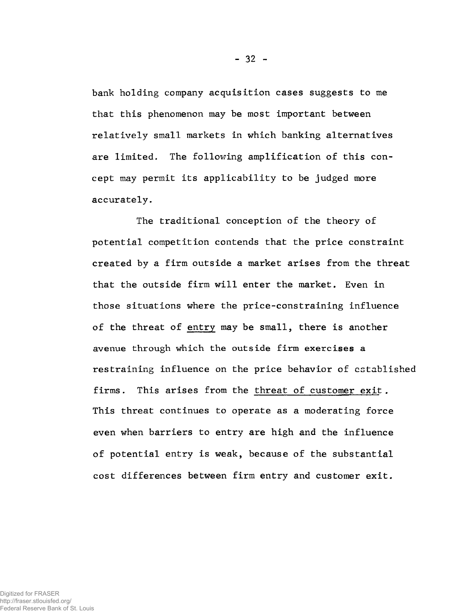bank holding company acquisition cases suggests to me that this phenomenon may be most important between relatively small markets in which banking alternatives are limited. The following amplification of this concept may permit its applicability to be judged more accurately.

The traditional conception of the theory of potential competition contends that the price constraint created by a firm outside a market arises from the threat that the outside firm will enter the market. Even in those situations where the price-constraining influence of the threat of entry may be small, there is another avenue through which the outside firm exercises a restraining influence on the price behavior of established firms. This arises from the threat of customer exit . This threat continues to operate as a moderating force even when barriers to entry are high and the influence of potential entry is weak, because of the substantial cost differences between firm entry and customer exit.

- 32 -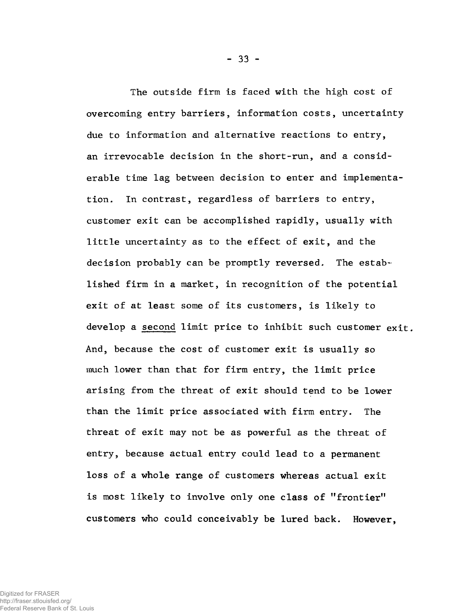The outside firm is faced with the high cost of overcoming entry barriers, information costs, uncertainty due to information and alternative reactions to entry, an irrevocable decision in the short-run, and a considerable time lag between decision to enter and implementation. In contrast, regardless of barriers to entry, customer exit can be accomplished rapidly, usually with little uncertainty as to the effect of exit, and the decision probably can be promptly reversed. The established firm in a market, in recognition of the potential exit of at least some of its customers, is likely to develop a second limit price to inhibit such customer exit. And, because the cost of customer exit is usually so much lower than that for firm entry, the limit price arising from the threat of exit should tend to be lower than the limit price associated with firm entry. The threat of exit may not be as powerful as the threat of entry, because actual entry could lead to a permanent loss of a whole range of customers whereas actual exit is most likely to involve only one class of "frontier" customers who could conceivably be lured back. However,